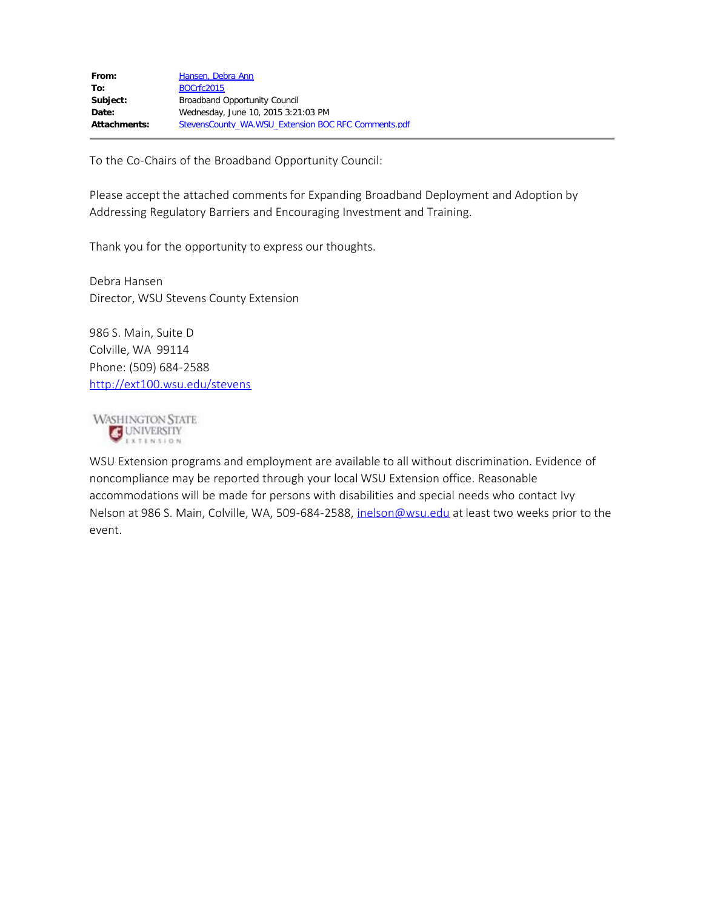To the Co-Chairs of the Broadband Opportunity Council:

Please accept the attached comments for Expanding Broadband Deployment and Adoption by Addressing Regulatory Barriers and Encouraging Investment and Training.

Thank you for the opportunity to express our thoughts.

Debra Hansen Director, WSU Stevens County Extension

986 S. Main, Suite D Colville, WA 99114 Phone: (509) 684-2588 <http://ext100.wsu.edu/stevens>

**WASHINGTON STATE** UNIVERSITY EXTENSION

WSU Extension programs and employment are available to all without discrimination. Evidence of noncompliance may be reported through your local WSU Extension office. Reasonable accommodations will be made for persons with disabilities and special needs who contact Ivy Nelson at 986 S. Main, Colville, WA, 509-684-2588, [inelson@wsu.edu](mailto:inelson@wsu.edu) at least two weeks prior to the event.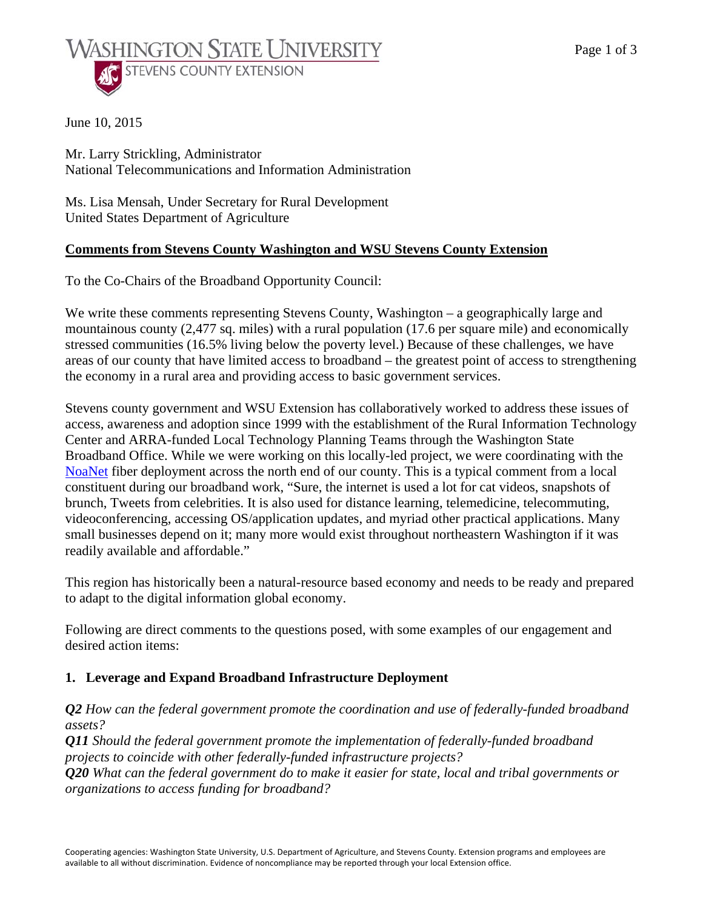

June 10, 2015

Mr. Larry Strickling, Administrator National Telecommunications and Information Administration

Ms. Lisa Mensah, Under Secretary for Rural Development United States Department of Agriculture

### **Comments from Stevens County Washington and WSU Stevens County Extension**

To the Co-Chairs of the Broadband Opportunity Council:

We write these comments representing Stevens County, Washington – a geographically large and mountainous county (2,477 sq. miles) with a rural population (17.6 per square mile) and economically stressed communities (16.5% living below the poverty level.) Because of these challenges, we have areas of our county that have limited access to broadband – the greatest point of access to strengthening the economy in a rural area and providing access to basic government services.

Stevens county government and WSU Extension has collaboratively worked to address these issues of access, awareness and adoption since 1999 with the establishment of the Rural Information Technology Center and ARRA-funded Local Technology Planning Teams through the Washington State Broadband Office. While we were working on this locally-led project, we were coordinating with the NoaNet fiber deployment across the north end of our county. This is a typical comment from a local constituent during our broadband work, "Sure, the internet is used a lot for cat videos, snapshots of brunch, Tweets from celebrities. It is also used for distance learning, telemedicine, telecommuting, videoconferencing, accessing OS/application updates, and myriad other practical applications. Many small businesses depend on it; many more would exist throughout northeastern Washington if it was readily available and affordable."

This region has historically been a natural-resource based economy and needs to be ready and prepared to adapt to the digital information global economy.

Following are direct comments to the questions posed, with some examples of our engagement and desired action items:

### **1. Leverage and Expand Broadband Infrastructure Deployment**

*Q2 How can the federal government promote the coordination and use of federally-funded broadband assets?* 

*Q11 Should the federal government promote the implementation of federally-funded broadband projects to coincide with other federally-funded infrastructure projects?* 

*Q20 What can the federal government do to make it easier for state, local and tribal governments or organizations to access funding for broadband?*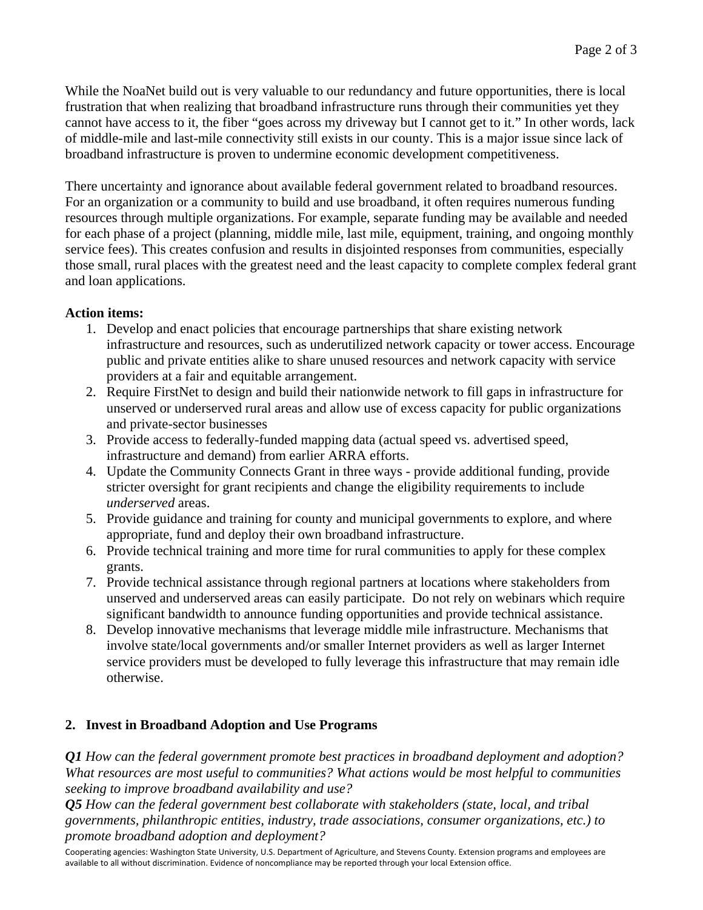While the NoaNet build out is very valuable to our redundancy and future opportunities, there is local frustration that when realizing that broadband infrastructure runs through their communities yet they cannot have access to it, the fiber "goes across my driveway but I cannot get to it." In other words, lack of middle-mile and last-mile connectivity still exists in our county. This is a major issue since lack of broadband infrastructure is proven to undermine economic development competitiveness.

There uncertainty and ignorance about available federal government related to broadband resources. For an organization or a community to build and use broadband, it often requires numerous funding resources through multiple organizations. For example, separate funding may be available and needed for each phase of a project (planning, middle mile, last mile, equipment, training, and ongoing monthly service fees). This creates confusion and results in disjointed responses from communities, especially those small, rural places with the greatest need and the least capacity to complete complex federal grant and loan applications.

## **Action items:**

- 1. Develop and enact policies that encourage partnerships that share existing network infrastructure and resources, such as underutilized network capacity or tower access. Encourage public and private entities alike to share unused resources and network capacity with service providers at a fair and equitable arrangement.
- 2. Require FirstNet to design and build their nationwide network to fill gaps in infrastructure for unserved or underserved rural areas and allow use of excess capacity for public organizations and private-sector businesses
- 3. Provide access to federally-funded mapping data (actual speed vs. advertised speed, infrastructure and demand) from earlier ARRA efforts.
- 4. Update the Community Connects Grant in three ways provide additional funding, provide stricter oversight for grant recipients and change the eligibility requirements to include *underserved* areas.
- 5. Provide guidance and training for county and municipal governments to explore, and where appropriate, fund and deploy their own broadband infrastructure.
- 6. Provide technical training and more time for rural communities to apply for these complex grants.
- 7. Provide technical assistance through regional partners at locations where stakeholders from unserved and underserved areas can easily participate. Do not rely on webinars which require significant bandwidth to announce funding opportunities and provide technical assistance.
- 8. Develop innovative mechanisms that leverage middle mile infrastructure. Mechanisms that involve state/local governments and/or smaller Internet providers as well as larger Internet service providers must be developed to fully leverage this infrastructure that may remain idle otherwise.

# **2. Invest in Broadband Adoption and Use Programs**

*Q1 How can the federal government promote best practices in broadband deployment and adoption? What resources are most useful to communities? What actions would be most helpful to communities seeking to improve broadband availability and use?* 

*Q5 How can the federal government best collaborate with stakeholders (state, local, and tribal governments, philanthropic entities, industry, trade associations, consumer organizations, etc.) to promote broadband adoption and deployment?* 

Cooperating agencies: Washington State University, U.S. Department of Agriculture, and Stevens County. Extension programs and employees are available to all without discrimination. Evidence of noncompliance may be reported through your local Extension office.